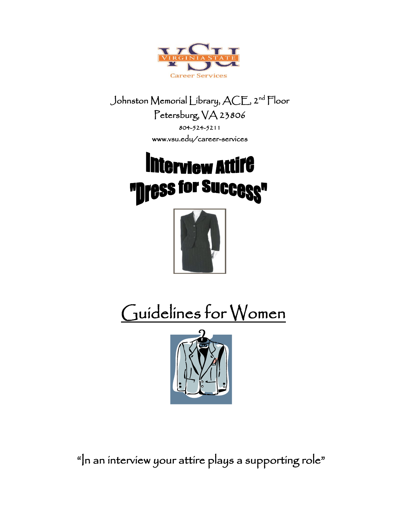

Johnston Memorial Library, ACE, 2 nd Floor Petersburg, VA 23806 804-524-5211 www.vsu.edu/career-services

# **Interview Attire** "**nress for Success"**



# Guidelines for Women



"In an interview your attire plays a supporting role"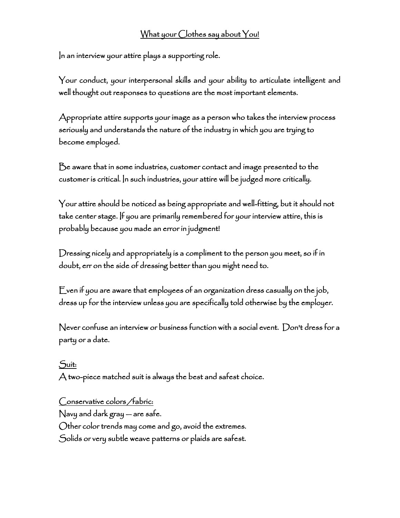# What your Clothes say about You!

In an interview your attire plays a supporting role.

Your conduct, your interpersonal skills and your ability to articulate intelligent and well thought out responses to questions are the most important elements.

Appropriate attire supports your image as a person who takes the interview process seriously and understands the nature of the industry in which you are trying to become employed.

Be aware that in some industries, customer contact and image presented to the customer is critical. In such industries, your attire will be judged more critically.

Your attire should be noticed as being appropriate and well-fitting, but it should not take center stage. If you are primarily remembered for your interview attire, this is probably because you made an error in judgment!

Dressing nicely and appropriately is a compliment to the person you meet, so if in doubt, err on the side of dressing better than you might need to.

Even if you are aware that employees of an organization dress casually on the job, dress up for the interview unless you are specifically told otherwise by the employer.

Never confuse an interview or business function with a social event. Don't dress for a party or a date.

Suit: A two-piece matched suit is always the best and safest choice.

### Conservative colors /fabric:

Navy and dark gray — are safe. Other color trends may come and go, avoid the extremes. Solids or very subtle weave patterns or plaids are safest.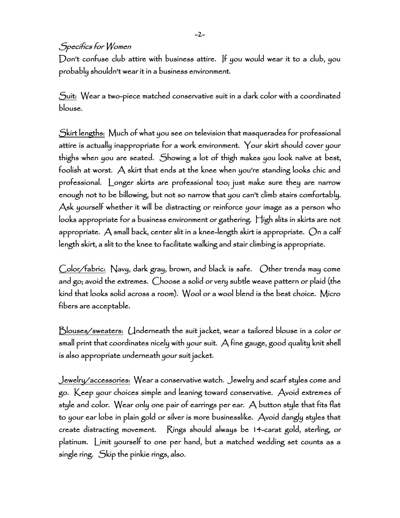-2-

## Specifics for Women

Don't confuse club attire with business attire. If you would wear it to a club, you probably shouldn't wear it in a business environment.

Suit: Wear a two-piece matched conservative suit in a dark color with a coordinated blouse.

Skirt lengths: Much of what you see on television that masquerades for professional attire is actually inappropriate for a work environment. Your skirt should cover your thighs when you are seated. Showing a lot of thigh makes you look naïve at best, foolish at worst. A skirt that ends at the knee when you're standing looks chic and professional. Longer skirts are professional too; just make sure they are narrow enough not to be billowing, but not so narrow that you can't climb stairs comfortably. Ask yourself whether it will be distracting or reinforce your image as a person who looks appropriate for a business environment or gathering. High slits in skirts are not appropriate. A small back, center slit in a knee-length skirt is appropriate. On a calf length skirt, a slit to the knee to facilitate walking and stair climbing is appropriate.

Color/fabric: Navy, dark gray, brown, and black is safe. Other trends may come and go; avoid the extremes. Choose a solid or very subtle weave pattern or plaid (the kind that looks solid across a room). Wool or a wool blend is the best choice. Micro fibers are acceptable.

Blouses/sweaters: Underneath the suit jacket, wear a tailored blouse in a color or small print that coordinates nicely with your suit. A fine gauge, good quality knit shell is also appropriate underneath your suit jacket.

Jewelry/accessories: Wear a conservative watch. Jewelry and scarf styles come and go. Keep your choices simple and leaning toward conservative. Avoid extremes of style and color. Wear only one pair of earrings per ear. A button style that fits flat to your ear lobe in plain gold or silver is more businesslike. Avoid dangly styles that create distracting movement. Rings should always be 14-carat gold, sterling, or platinum. Limit yourself to one per hand, but a matched wedding set counts as a single ring. Skip the pinkie rings, also.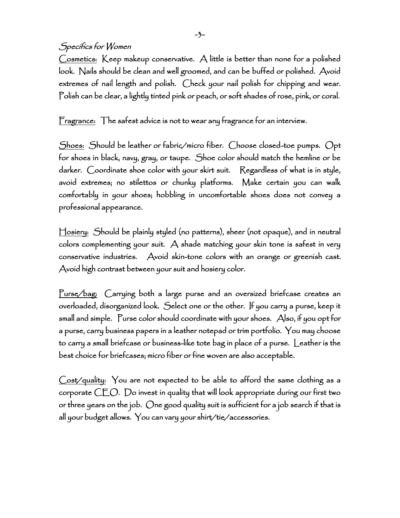-3-

# Specifics for Women

Cosmetics: Keep makeup conservative. A little is better than none for a polished look. Nails should be clean and well groomed, and can be buffed or polished. Avoid extremes of nail length and polish. Check your nail polish for chipping and wear. Polish can be clear, a lightly tinted pink or peach, or soft shades of rose, pink, or coral.

Fragrance: The safest advice is not to wear any fragrance for an interview.

Shoes: Should be leather or fabric/micro fiber. Choose closed-toe pumps. Opt for shoes in black, navy, gray, or taupe. Shoe color should match the hemline or be darker. Coordinate shoe color with your skirt suit. Regardless of what is in style, avoid extremes; no stilettos or chunky platforms. Make certain you can walk comfortably in your shoes; hobbling in uncomfortable shoes does not convey a professional appearance.

Hosiery: Should be plainly styled (no patterns), sheer (not opaque), and in neutral colors complementing your suit. A shade matching your skin tone is safest in very conservative industries. Avoid skin-tone colors with an orange or greenish cast. Avoid high contrast between your suit and hosiery color.

Purse/bag: Carrying both a large purse and an oversized briefcase creates an overloaded, disorganized look. Select one or the other. If you carry a purse, keep it small and simple. Purse color should coordinate with your shoes. Also, if you opt for a purse, carry business papers in a leather notepad or trim portfolio. You may choose to carry a small briefcase or business-like tote bag in place of a purse. Leather is the best choice for briefcases; micro fiber or fine woven are also acceptable.

Cost/quality: You are not expected to be able to afford the same clothing as a corporate CEO. Do invest in quality that will look appropriate during our first two or three years on the job. One good quality suit is sufficient for a job search if that is all your budget allows. You can vary your shirt/tie/accessories.